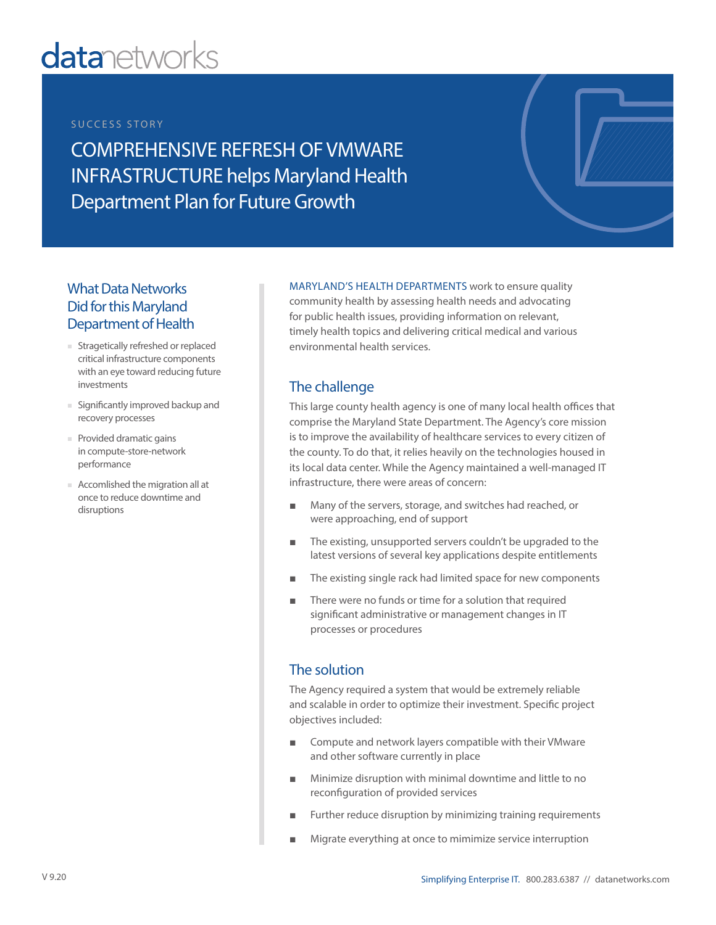# **datanetworks**

#### SUCCESS STORY

COMPREHENSIVE REFRESH OF VMWARE INFRASTRUCTURE helps Maryland Health Department Plan for Future Growth

# What Data Networks Did for this Maryland Department of Health

- Stragetically refreshed or replaced critical infrastructure components with an eye toward reducing future investments
- Significantly improved backup and recovery processes
- Provided dramatic gains in compute-store-network performance
- Accomlished the migration all at once to reduce downtime and disruptions

MARYLAND'S HEALTH DEPARTMENTS work to ensure quality community health by assessing health needs and advocating for public health issues, providing information on relevant, timely health topics and delivering critical medical and various environmental health services.

# The challenge

This large county health agency is one of many local health offices that comprise the Maryland State Department. The Agency's core mission is to improve the availability of healthcare services to every citizen of the county. To do that, it relies heavily on the technologies housed in its local data center. While the Agency maintained a well-managed IT infrastructure, there were areas of concern:

- Many of the servers, storage, and switches had reached, or were approaching, end of support
- The existing, unsupported servers couldn't be upgraded to the latest versions of several key applications despite entitlements
- The existing single rack had limited space for new components
- There were no funds or time for a solution that required significant administrative or management changes in IT processes or procedures

# The solution

The Agency required a system that would be extremely reliable and scalable in order to optimize their investment. Specific project objectives included:

- Compute and network layers compatible with their VMware and other software currently in place
- Minimize disruption with minimal downtime and little to no reconfiguration of provided services
- Further reduce disruption by minimizing training requirements
- Migrate everything at once to mimimize service interruption